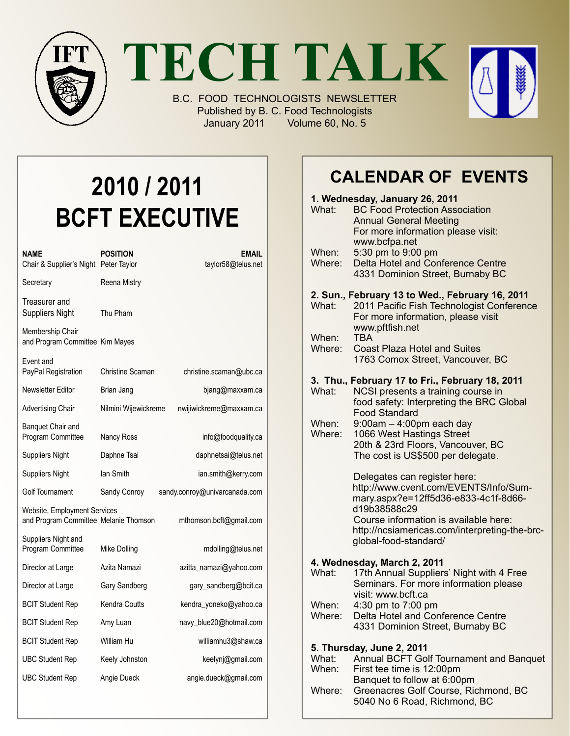

**TECH TALK**

B.C. FOOD TECHNOLOGISTS NEWSLETTER Published by B. C. Food Technologists January 2011 Volume 60, No. 5



# **2010 / 2011 BCFT EXECUTIVE**

| NAME<br>Chair & Supplier's Night Peter Taylor                         | <b>POSITION</b>      | EMAIL<br>taylor58@telus.net   |
|-----------------------------------------------------------------------|----------------------|-------------------------------|
| Secretary                                                             | Reena Mistry         |                               |
| Treasurer and<br><b>Suppliers Night</b>                               | Thu Pham             |                               |
| Membership Chair<br>and Program Committee Kim Mayes                   |                      |                               |
| Event and<br>PayPal Registration                                      | Christine Scaman     | christine.scaman@ubc.ca       |
| Newsletter Editor                                                     | Brian Jang           | bjang@maxxam.ca               |
| <b>Advertising Chair</b>                                              | Nilmini Wijewickreme | nwijiwickreme@maxxam.ca       |
| Banquet Chair and<br>Program Committee                                | Nancy Ross           | info@foodquality.ca           |
| <b>Suppliers Night</b>                                                | Daphne Tsai          | daphnetsai@telus.net          |
| <b>Suppliers Night</b>                                                | lan Smith            | ian.smith@kerry.com           |
| Golf Tournament                                                       | Sandy Conroy         | sandy.conroy@univarcanada.com |
| Website, Employment Services<br>and Program Committee Melanie Thomson |                      | mthomson.bcft@gmail.com       |
| Suppliers Night and<br>Program Committee                              | Mike Dolling         | mdolling@telus.net            |
| Director at Large                                                     | Azita Namazi         | azitta_namazi@yahoo.com       |
| Director at Large                                                     | Gary Sandberg        | gary_sandberg@bcit.ca         |
| <b>BCIT Student Rep</b>                                               | <b>Kendra Coutts</b> | kendra_yoneko@yahoo.ca        |
| <b>BCIT Student Rep</b>                                               | Amy Luan             | navy_blue20@hotmail.com       |
| <b>BCIT Student Rep</b>                                               | William Hu           | williamhu3@shaw.ca            |
| <b>UBC Student Rep</b>                                                | Keely Johnston       | keelynj@gmail.com             |
| <b>UBC Student Rep</b>                                                | Angie Dueck          | angie.dueck@gmail.com         |

## **Calendar Of Events**

|                                                 | 1. Wednesday, January 26, 2011 |                                                                               |  |
|-------------------------------------------------|--------------------------------|-------------------------------------------------------------------------------|--|
|                                                 | What:                          | <b>BC Food Protection Association</b>                                         |  |
|                                                 |                                | <b>Annual General Meeting</b>                                                 |  |
|                                                 |                                | For more information please visit:                                            |  |
|                                                 | When:                          | www.bcfpa.net<br>5:30 pm to 9:00 pm                                           |  |
|                                                 | Where:                         | Delta Hotel and Conference Centre                                             |  |
|                                                 |                                | 4331 Dominion Street, Burnaby BC                                              |  |
| 2. Sun., February 13 to Wed., February 16, 2011 |                                |                                                                               |  |
|                                                 | What:                          | 2011 Pacific Fish Technologist Conference                                     |  |
|                                                 |                                | For more information, please visit                                            |  |
|                                                 | When:                          | www.pftfish.net<br><b>TBA</b>                                                 |  |
|                                                 | Where:                         | <b>Coast Plaza Hotel and Suites</b>                                           |  |
|                                                 |                                | 1763 Comox Street, Vancouver, BC                                              |  |
|                                                 |                                |                                                                               |  |
|                                                 |                                | 3. Thu., February 17 to Fri., February 18, 2011                               |  |
|                                                 | What:                          | NCSI presents a training course in                                            |  |
|                                                 |                                | food safety: Interpreting the BRC Global<br><b>Food Standard</b>              |  |
|                                                 | When:                          | $9:00am - 4:00pm$ each day                                                    |  |
|                                                 | Where:                         | 1066 West Hastings Street                                                     |  |
|                                                 |                                | 20th & 23rd Floors, Vancouver, BC                                             |  |
|                                                 |                                | The cost is US\$500 per delegate.                                             |  |
|                                                 |                                |                                                                               |  |
|                                                 |                                | Delegates can register here:                                                  |  |
|                                                 |                                | http://www.cvent.com/EVENTS/Info/Sum-<br>mary.aspx?e=12ff5d36-e833-4c1f-8d66- |  |
|                                                 |                                | d19b38588c29                                                                  |  |
|                                                 |                                | Course information is available here:                                         |  |
|                                                 |                                | http://ncsiamericas.com/interpreting-the-brc-                                 |  |
|                                                 |                                | global-food-standard/                                                         |  |
| 4. Wednesday, March 2, 2011                     |                                |                                                                               |  |
|                                                 | What:                          | 17th Annual Suppliers' Night with 4 Free                                      |  |
|                                                 |                                | Seminars. For more information please                                         |  |
|                                                 |                                | visit: www.bcft.ca                                                            |  |
|                                                 | When:                          | 4:30 pm to 7:00 pm                                                            |  |
|                                                 | Where:                         | Delta Hotel and Conference Centre                                             |  |
|                                                 |                                | 4331 Dominion Street, Burnaby BC                                              |  |
|                                                 |                                | 5. Thursday, June 2, 2011                                                     |  |
|                                                 | What:                          | Annual BCFT Golf Tournament and Banquet                                       |  |
|                                                 | When:                          | First tee time is 12:00pm                                                     |  |
|                                                 |                                | Banquet to follow at 6:00pm                                                   |  |
|                                                 | Where:                         | Greenacres Golf Course, Richmond, BC                                          |  |

5040 No 6 Road, Richmond, BC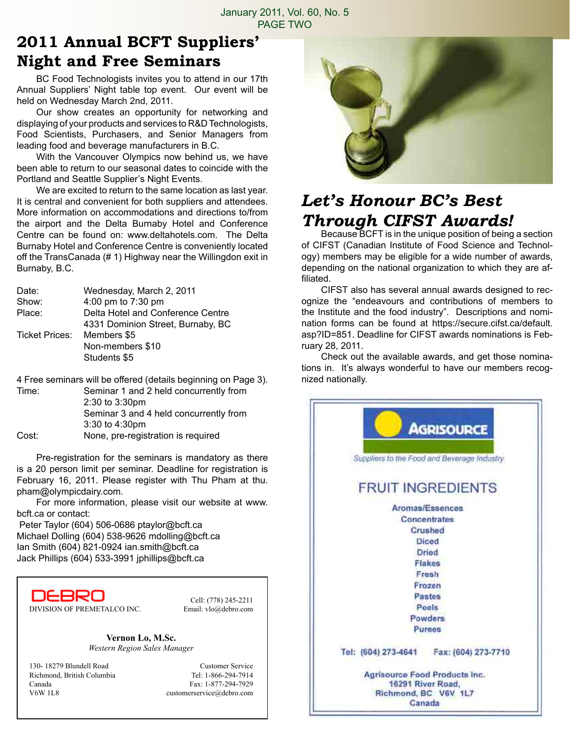### **2011 Annual BCFT Suppliers' Night and Free Seminars**

BC Food Technologists invites you to attend in our 17th Annual Suppliers' Night table top event. Our event will be held on Wednesday March 2nd, 2011.

Our show creates an opportunity for networking and displaying of your products and services to R&D Technologists, Food Scientists, Purchasers, and Senior Managers from leading food and beverage manufacturers in B.C.

With the Vancouver Olympics now behind us, we have been able to return to our seasonal dates to coincide with the Portland and Seattle Supplier's Night Events.

We are excited to return to the same location as last year. It is central and convenient for both suppliers and attendees. More information on accommodations and directions to/from the airport and the Delta Burnaby Hotel and Conference Centre can be found on: www.deltahotels.com. The Delta Burnaby Hotel and Conference Centre is conveniently located off the TransCanada (# 1) Highway near the Willingdon exit in Burnaby, B.C.

| Date:          | Wednesday, March 2, 2011          |  |
|----------------|-----------------------------------|--|
| Show:          | 4:00 pm to 7:30 pm                |  |
| Place:         | Delta Hotel and Conference Centre |  |
|                | 4331 Dominion Street, Burnaby, BC |  |
| Ticket Prices: | Members \$5                       |  |
|                | Non-members \$10                  |  |
|                | Students \$5                      |  |

4 Free seminars will be offered (details beginning on Page 3).

Time: Seminar 1 and 2 held concurrently from 2:30 to 3:30pm Seminar 3 and 4 held concurrently from 3:30 to 4:30pm Cost: None, pre-registration is required

Pre-registration for the seminars is mandatory as there is a 20 person limit per seminar. Deadline for registration is February 16, 2011. Please register with Thu Pham at thu. pham@olympicdairy.com.

For more information, please visit our website at www. bcft.ca or contact:

 Peter Taylor (604) 506-0686 ptaylor@bcft.ca Michael Dolling (604) 538-9626 mdolling@bcft.ca Ian Smith (604) 821-0924 ian.smith@bcft.ca Jack Phillips (604) 533-3991 jphillips@bcft.ca

DEBRO DIVISION OF PREMETALCO INC. Email: vlo@debro.com

Cell: (778) 245-2211

**Vernon Lo, M.Sc.** *Western Region Sales Manager*

130- 18279 Blundell Road Customer Service Richmond, British Columbia Tel: 1-866-294-7914 Canada Fax: 1-877-294-7929 V6W 1L8 customerservice@debro.com



### *Let's Honour BC's Best Through CIFST Awards!*

Because BCFT is in the unique position of being a section of CIFST (Canadian Institute of Food Science and Technology) members may be eligible for a wide number of awards, depending on the national organization to which they are affiliated.

CIFST also has several annual awards designed to recognize the "endeavours and contributions of members to the Institute and the food industry". Descriptions and nomination forms can be found at https://secure.cifst.ca/default. asp?ID=851. Deadline for CIFST awards nominations is February 28, 2011.

Check out the available awards, and get those nominations in. It's always wonderful to have our members recognized nationally.

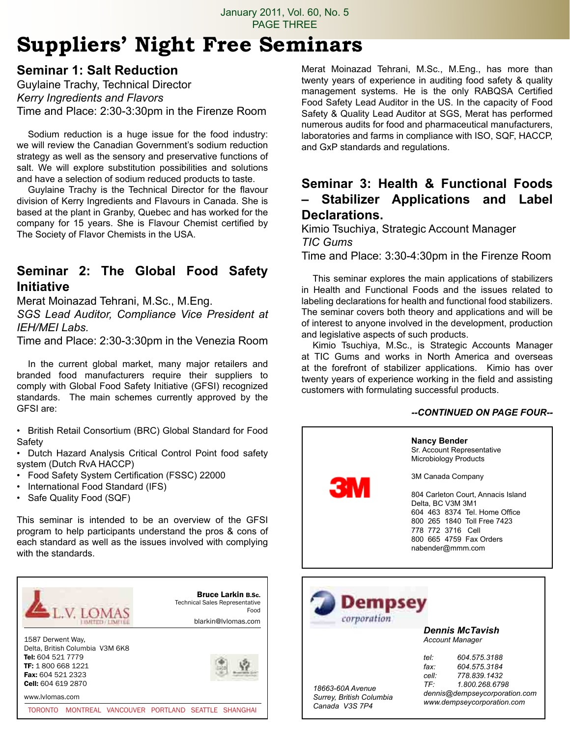## **Suppliers' Night Free Seminars**

#### **Seminar 1: Salt Reduction**

Guylaine Trachy, Technical Director *Kerry Ingredients and Flavors* Time and Place: 2:30-3:30pm in the Firenze Room

Sodium reduction is a huge issue for the food industry: we will review the Canadian Government's sodium reduction strategy as well as the sensory and preservative functions of salt. We will explore substitution possibilities and solutions and have a selection of sodium reduced products to taste.

Guylaine Trachy is the Technical Director for the flavour division of Kerry Ingredients and Flavours in Canada. She is based at the plant in Granby, Quebec and has worked for the company for 15 years. She is Flavour Chemist certified by The Society of Flavor Chemists in the USA.

#### **Seminar 2: The Global Food Safety Initiative**

Merat Moinazad Tehrani, M.Sc., M.Eng.

*SGS Lead Auditor, Compliance Vice President at IEH/MEI Labs.*

Time and Place: 2:30-3:30pm in the Venezia Room

In the current global market, many major retailers and branded food manufacturers require their suppliers to comply with Global Food Safety Initiative (GFSI) recognized standards. The main schemes currently approved by the GFSI are:

• British Retail Consortium (BRC) Global Standard for Food Safety

• Dutch Hazard Analysis Critical Control Point food safety system (Dutch RvA HACCP)

- Food Safety System Certification (FSSC) 22000
- International Food Standard (IFS)
- Safe Quality Food (SQF)

This seminar is intended to be an overview of the GFSI program to help participants understand the pros & cons of each standard as well as the issues involved with complying with the standards.



Merat Moinazad Tehrani, M.Sc., M.Eng., has more than twenty years of experience in auditing food safety & quality management systems. He is the only RABQSA Certified Food Safety Lead Auditor in the US. In the capacity of Food Safety & Quality Lead Auditor at SGS, Merat has performed numerous audits for food and pharmaceutical manufacturers, laboratories and farms in compliance with ISO, SQF, HACCP, and GxP standards and regulations.

#### **Seminar 3: Health & Functional Foods – Stabilizer Applications and Label Declarations.**

Kimio Tsuchiya, Strategic Account Manager *TIC Gums*

Time and Place: 3:30-4:30pm in the Firenze Room

This seminar explores the main applications of stabilizers in Health and Functional Foods and the issues related to labeling declarations for health and functional food stabilizers. The seminar covers both theory and applications and will be of interest to anyone involved in the development, production and legislative aspects of such products.

Kimio Tsuchiya, M.Sc., is Strategic Accounts Manager at TIC Gums and works in North America and overseas at the forefront of stabilizer applications. Kimio has over twenty years of experience working in the field and assisting customers with formulating successful products.

#### *--CONTINUED ON PAGE FOUR--*

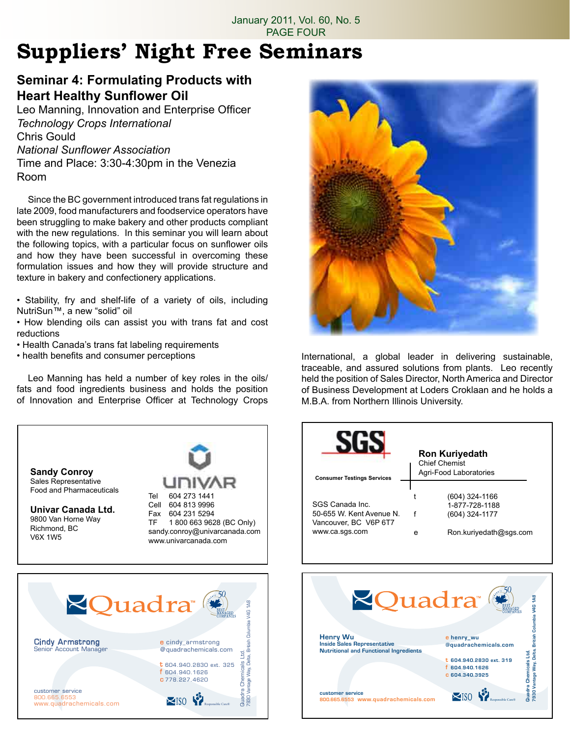# **Suppliers' Night Free Seminars**

#### **Seminar 4: Formulating Products with Heart Healthy Sunflower Oil**

Leo Manning, Innovation and Enterprise Officer *Technology Crops International* Chris Gould *National Sunflower Association* Time and Place: 3:30-4:30pm in the Venezia Room

Since the BC government introduced trans fat regulations in late 2009, food manufacturers and foodservice operators have been struggling to make bakery and other products compliant with the new regulations. In this seminar you will learn about the following topics, with a particular focus on sunflower oils and how they have been successful in overcoming these formulation issues and how they will provide structure and texture in bakery and confectionery applications.

• Stability, fry and shelf-life of a variety of oils, including NutriSun™, a new "solid" oil

• How blending oils can assist you with trans fat and cost reductions

- Health Canada's trans fat labeling requirements
- health benefits and consumer perceptions

Leo Manning has held a number of key roles in the oils/ fats and food ingredients business and holds the position of Innovation and Enterprise Officer at Technology Crops



International, a global leader in delivering sustainable, traceable, and assured solutions from plants. Leo recently held the position of Sales Director, North America and Director of Business Development at Loders Croklaan and he holds a M.B.A. from Northern Illinois University.

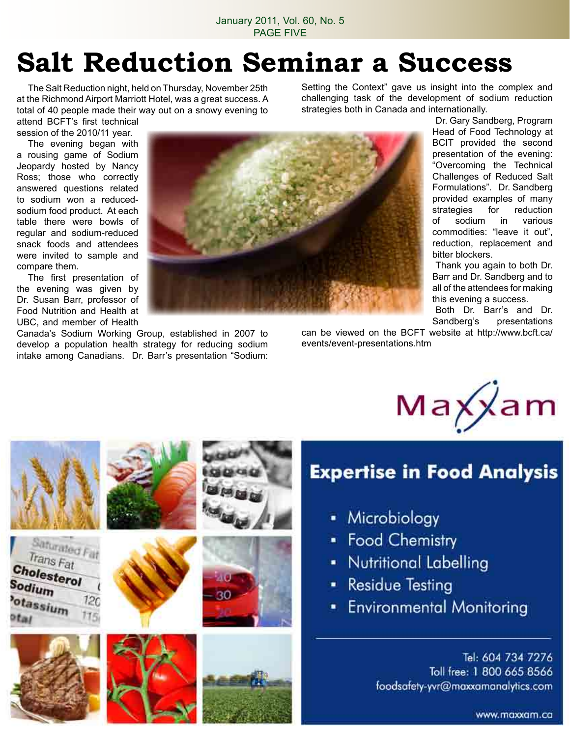# **Salt Reduction Seminar a Success**

The Salt Reduction night, held on Thursday, November 25th at the Richmond Airport Marriott Hotel, was a great success. A total of 40 people made their way out on a snowy evening to attend BCFT's first technical

Setting the Context" gave us insight into the complex and challenging task of the development of sodium reduction strategies both in Canada and internationally.

session of the 2010/11 year. The evening began with a rousing game of Sodium Jeopardy hosted by Nancy Ross; those who correctly answered questions related to sodium won a reducedsodium food product. At each table there were bowls of regular and sodium-reduced snack foods and attendees were invited to sample and compare them.

The first presentation of the evening was given by Dr. Susan Barr, professor of Food Nutrition and Health at UBC, and member of Health

Canada's Sodium Working Group, established in 2007 to develop a population health strategy for reducing sodium intake among Canadians. Dr. Barr's presentation "Sodium:



Dr. Gary Sandberg, Program Head of Food Technology at BCIT provided the second presentation of the evening: "Overcoming the Technical Challenges of Reduced Salt Formulations". Dr. Sandberg provided examples of many strategies for reduction of sodium in various commodities: "leave it out", reduction, replacement and bitter blockers.

Thank you again to both Dr. Barr and Dr. Sandberg and to all of the attendees for making this evening a success.

Both Dr. Barr's and Dr. Sandberg's presentations

can be viewed on the BCFT website at http://www.bcft.ca/ events/event-presentations.htm



## **Expertise in Food Analysis**

- Microbiology
- Food Chemistry
- Nutritional Labelling
- Residue Testing
- **Environmental Monitoring**

Tel: 604 734 7276 Toll free: 1 800 665 8566 foodsafety-yvr@maxxamanalytics.com

Saturated Fat Trans Fat Cholesterol Sodium